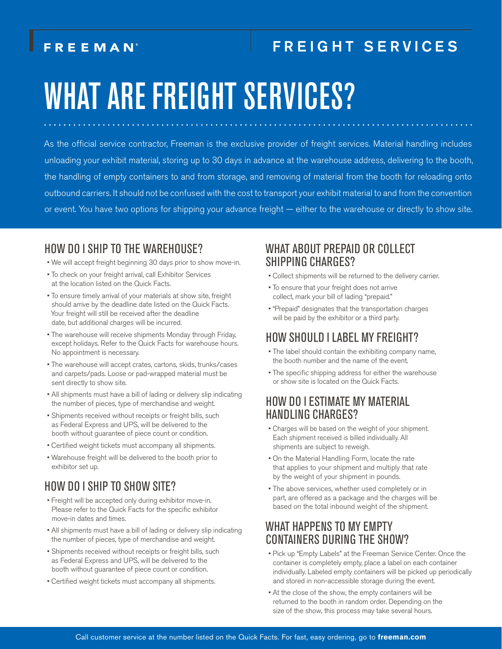# FREEMAN

# FREIGHT SERVICES

# WHAT ARE FREIGHT SERVICES?

As the official service contractor, Freeman is the exclusive provider of freight services. Material handling includes unloading your exhibit material, storing up to 30 days in advance at the warehouse address, delivering to the booth, the handling of empty containers to and from storage, and removing of material from the booth for reloading onto outbound carriers. It should not be confused with the cost to transport your exhibit material to and from the convention or event. You have two options for shipping your advance freight — either to the warehouse or directly to show site.

#### HOW DO I SHIP TO THE WAREHOUSE?

- We will accept freight beginning 30 days prior to show move-in.
- To check on your freight arrival, call Exhibitor Services at the location listed on the Quick Facts.
- To ensure timely arrival of your materials at show site, freight should arrive by the deadline date listed on the Quick Facts. Your freight will still be received after the deadline date, but additional charges will be incurred.
- The warehouse will receive shipments Monday through Friday, except holidays. Refer to the Quick Facts for warehouse hours. No appointment is necessary.
- The warehouse will accept crates, cartons, skids, trunks/cases and carpets/pads. Loose or pad-wrapped material must be sent directly to show site.
- All shipments must have a bill of lading or delivery slip indicating the number of pieces, type of merchandise and weight.
- Shipments received without receipts or freight bills, such as Federal Express and UPS, will be delivered to the booth without guarantee of piece count or condition.
- Certified weight tickets must accompany all shipments.
- Warehouse freight will be delivered to the booth prior to exhibitor set up.

## HOW DO I SHIP TO SHOW SITE?

- Freight will be accepted only during exhibitor move-in. Please refer to the Quick Facts for the specific exhibitor move-in dates and times.
- All shipments must have a bill of lading or delivery slip indicating the number of pieces, type of merchandise and weight.
- Shipments received without receipts or freight bills, such as Federal Express and UPS, will be delivered to the booth without guarantee of piece count or condition.
- Certified weight tickets must accompany all shipments.

#### WHAT ABOUT PREPAID OR COLLECT SHIPPING CHARGES?

- Collect shipments will be returned to the delivery carrier.
- To ensure that your freight does not arrive collect, mark your bill of lading "prepaid."
- "Prepaid" designates that the transportation charges will be paid by the exhibitor or a third party.

## HOW SHOULD I LABEL MY FREIGHT?

- The label should contain the exhibiting company name, the booth number and the name of the event.
- The specific shipping address for either the warehouse or show site is located on the Quick Facts.

#### HOW DO I ESTIMATE MY MATERIAL HANDLING CHARGES?

- Charges will be based on the weight of your shipment. Each shipment received is billed individually. All shipments are subject to reweigh.
- On the Material Handling Form, locate the rate that applies to your shipment and multiply that rate by the weight of your shipment in pounds.
- The above services, whether used completely or in part, are offered as a package and the charges will be based on the total inbound weight of the shipment.

### WHAT HAPPENS TO MY EMPTY CONTAINERS DURING THE SHOW?

- Pick up "Empty Labels" at the Freeman Service Center. Once the container is completely empty, place a label on each container individually. Labeled empty containers will be picked up periodically and stored in non-accessible storage during the event.
- At the close of the show, the empty containers will be returned to the booth in random order. Depending on the size of the show, this process may take several hours.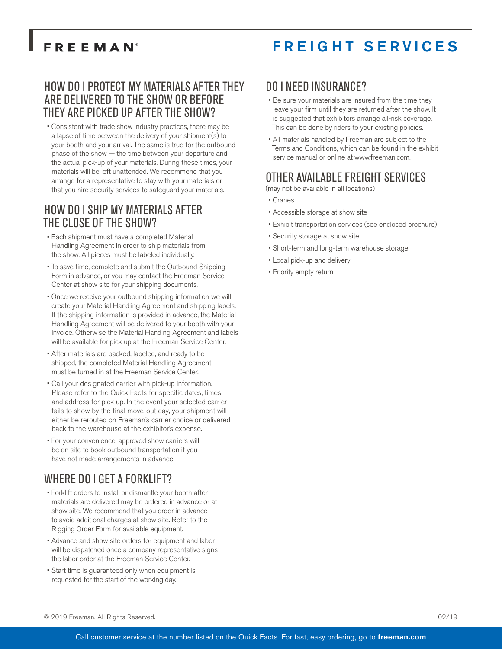# **FREEMAN**

# FREIGHT SERVICES

#### HOW DO I PROTECT MY MATERIALS AFTER THEY ARE DELIVERED TO THE SHOW OR BEFORE THEY ARE PICKED UP AFTER THE SHOW?

• Consistent with trade show industry practices, there may be a lapse of time between the delivery of your shipment(s) to your booth and your arrival. The same is true for the outbound phase of the show — the time between your departure and the actual pick-up of your materials. During these times, your materials will be left unattended. We recommend that you arrange for a representative to stay with your materials or that you hire security services to safeguard your materials.

#### HOW DO I SHIP MY MATERIALS AFTER THE CLOSE OF THE SHOW?

- Each shipment must have a completed Material Handling Agreement in order to ship materials from the show. All pieces must be labeled individually.
- To save time, complete and submit the Outbound Shipping Form in advance, or you may contact the Freeman Service Center at show site for your shipping documents.
- Once we receive your outbound shipping information we will create your Material Handling Agreement and shipping labels. If the shipping information is provided in advance, the Material Handling Agreement will be delivered to your booth with your invoice. Otherwise the Material Handing Agreement and labels will be available for pick up at the Freeman Service Center.
- After materials are packed, labeled, and ready to be shipped, the completed Material Handling Agreement must be turned in at the Freeman Service Center.
- Call your designated carrier with pick-up information. Please refer to the Quick Facts for specific dates, times and address for pick up. In the event your selected carrier fails to show by the final move-out day, your shipment will either be rerouted on Freeman's carrier choice or delivered back to the warehouse at the exhibitor's expense.
- For your convenience, approved show carriers will be on site to book outbound transportation if you have not made arrangements in advance.

## WHERE DO I GET A FORKLIFT?

- Forklift orders to install or dismantle your booth after materials are delivered may be ordered in advance or at show site. We recommend that you order in advance to avoid additional charges at show site. Refer to the Rigging Order Form for available equipment.
- Advance and show site orders for equipment and labor will be dispatched once a company representative signs the labor order at the Freeman Service Center.
- Start time is guaranteed only when equipment is requested for the start of the working day.

#### DO I NEED INSURANCE?

- Be sure your materials are insured from the time they leave your firm until they are returned after the show. It is suggested that exhibitors arrange all-risk coverage. This can be done by riders to your existing policies.
- All materials handled by Freeman are subject to the Terms and Conditions, which can be found in the exhibit service manual or online at www.freeman.com

## OTHER AVAILABLE FREIGHT SERVICES

(may not be available in all locations)

- Cranes
- Accessible storage at show site
- Exhibit transportation services (see enclosed brochure)
- Security storage at show site
- Short-term and long-term warehouse storage
- Local pick-up and delivery
- Priority empty return